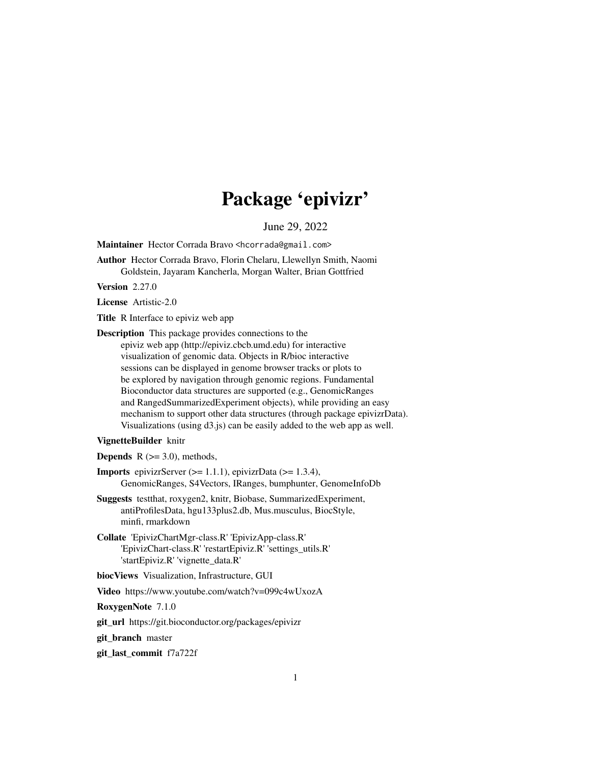# Package 'epivizr'

June 29, 2022

<span id="page-0-0"></span>Maintainer Hector Corrada Bravo <hcorrada@gmail.com>

Author Hector Corrada Bravo, Florin Chelaru, Llewellyn Smith, Naomi Goldstein, Jayaram Kancherla, Morgan Walter, Brian Gottfried

Version 2.27.0

License Artistic-2.0

Title R Interface to epiviz web app

Description This package provides connections to the epiviz web app (http://epiviz.cbcb.umd.edu) for interactive visualization of genomic data. Objects in R/bioc interactive sessions can be displayed in genome browser tracks or plots to be explored by navigation through genomic regions. Fundamental Bioconductor data structures are supported (e.g., GenomicRanges and RangedSummarizedExperiment objects), while providing an easy mechanism to support other data structures (through package epivizrData). Visualizations (using d3.js) can be easily added to the web app as well.

# VignetteBuilder knitr

**Depends** R  $(>= 3.0)$ , methods,

**Imports** epivizrServer  $(>= 1.1.1)$ , epivizrData  $(>= 1.3.4)$ , GenomicRanges, S4Vectors, IRanges, bumphunter, GenomeInfoDb

- Suggests testthat, roxygen2, knitr, Biobase, SummarizedExperiment, antiProfilesData, hgu133plus2.db, Mus.musculus, BiocStyle, minfi, rmarkdown
- Collate 'EpivizChartMgr-class.R' 'EpivizApp-class.R' 'EpivizChart-class.R' 'restartEpiviz.R' 'settings\_utils.R' 'startEpiviz.R' 'vignette\_data.R'

biocViews Visualization, Infrastructure, GUI

Video https://www.youtube.com/watch?v=099c4wUxozA

RoxygenNote 7.1.0

git\_url https://git.bioconductor.org/packages/epivizr

git\_branch master

git\_last\_commit f7a722f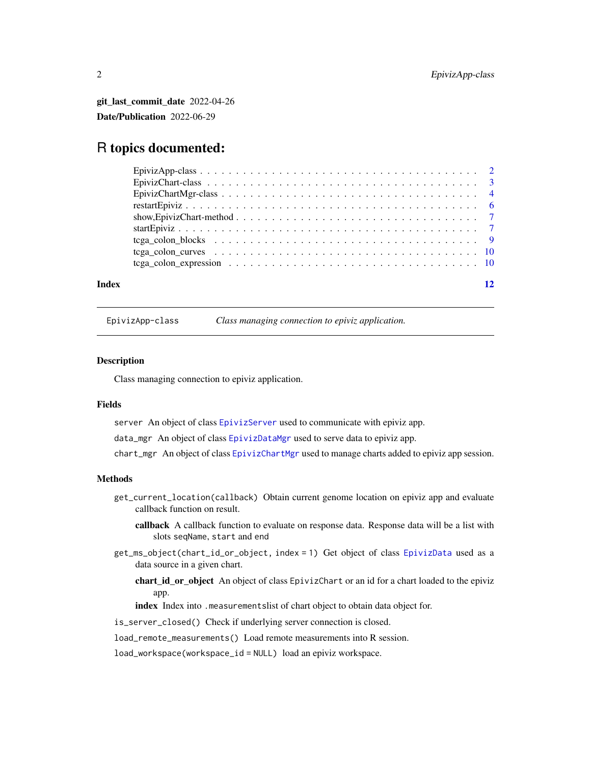<span id="page-1-0"></span>git\_last\_commit\_date 2022-04-26 Date/Publication 2022-06-29

# R topics documented:

| Index |  |
|-------|--|
|       |  |
|       |  |
|       |  |
|       |  |
|       |  |
|       |  |
|       |  |
|       |  |
|       |  |

EpivizApp-class *Class managing connection to epiviz application.*

# <span id="page-1-1"></span>**Description**

Class managing connection to epiviz application.

# Fields

server An object of class [EpivizServer](#page-0-0) used to communicate with epiviz app.

data\_mgr An object of class [EpivizDataMgr](#page-0-0) used to serve data to epiviz app.

chart\_mgr An object of class [EpivizChartMgr](#page-3-1) used to manage charts added to epiviz app session.

# Methods

- get\_current\_location(callback) Obtain current genome location on epiviz app and evaluate callback function on result.
	- callback A callback function to evaluate on response data. Response data will be a list with slots seqName, start and end
- get\_ms\_object(chart\_id\_or\_object, index = 1) Get object of class [EpivizData](#page-0-0) used as a data source in a given chart.
	- chart\_id\_or\_object An object of class EpivizChart or an id for a chart loaded to the epiviz app.

index Index into .measurementslist of chart object to obtain data object for.

is\_server\_closed() Check if underlying server connection is closed.

load\_remote\_measurements() Load remote measurements into R session.

load\_workspace(workspace\_id = NULL) load an epiviz workspace.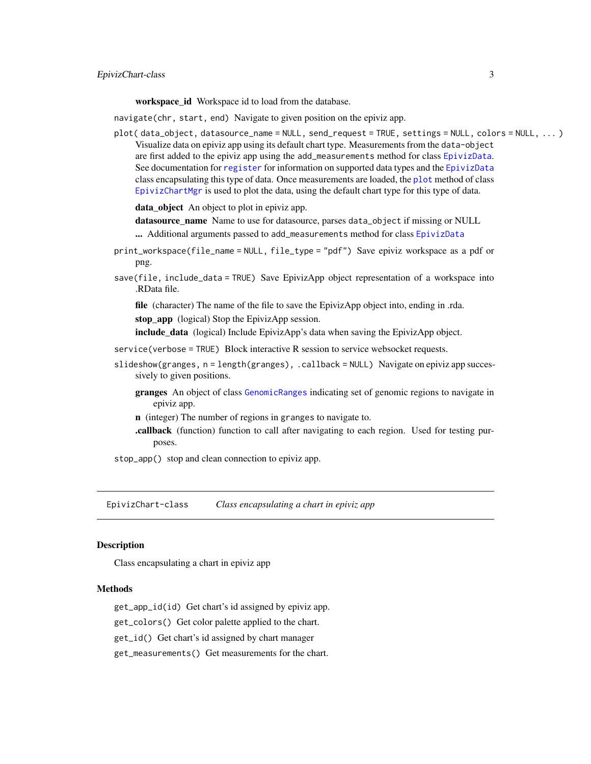<span id="page-2-0"></span>workspace\_id Workspace id to load from the database.

navigate(chr, start, end) Navigate to given position on the epiviz app.

plot( data\_object, datasource\_name = NULL, send\_request = TRUE, settings = NULL, colors = NULL, ... ) Visualize data on epiviz app using its default chart type. Measurements from the data-object are first added to the epiviz app using the add\_measurements method for class [EpivizData](#page-0-0). See documentation for [register](#page-0-0) for information on supported data types and the [EpivizData](#page-0-0) class encapsulating this type of data. Once measurements are loaded, the [plot](#page-0-0) method of class [EpivizChartMgr](#page-3-1) is used to plot the data, using the default chart type for this type of data.

data\_object An object to plot in epiviz app.

datasource\_name Name to use for datasource, parses data\_object if missing or NULL

... Additional arguments passed to add\_measurements method for class [EpivizData](#page-0-0)

- print\_workspace(file\_name = NULL, file\_type = "pdf") Save epiviz workspace as a pdf or png.
- save(file, include\_data = TRUE) Save EpivizApp object representation of a workspace into .RData file.

file (character) The name of the file to save the EpivizApp object into, ending in .rda. stop\_app (logical) Stop the EpivizApp session.

include\_data (logical) Include EpivizApp's data when saving the EpivizApp object.

- service(verbose = TRUE) Block interactive R session to service websocket requests.
- slideshow(granges, n = length(granges), .callback = NULL) Navigate on epiviz app successively to given positions.
	- granges An object of class [GenomicRanges](#page-0-0) indicating set of genomic regions to navigate in epiviz app.
	- n (integer) The number of regions in granges to navigate to.
	- .callback (function) function to call after navigating to each region. Used for testing purposes.
- stop\_app() stop and clean connection to epiviz app.

EpivizChart-class *Class encapsulating a chart in epiviz app*

# <span id="page-2-1"></span>Description

Class encapsulating a chart in epiviz app

# Methods

get\_app\_id(id) Get chart's id assigned by epiviz app.

get\_colors() Get color palette applied to the chart.

get\_id() Get chart's id assigned by chart manager

get\_measurements() Get measurements for the chart.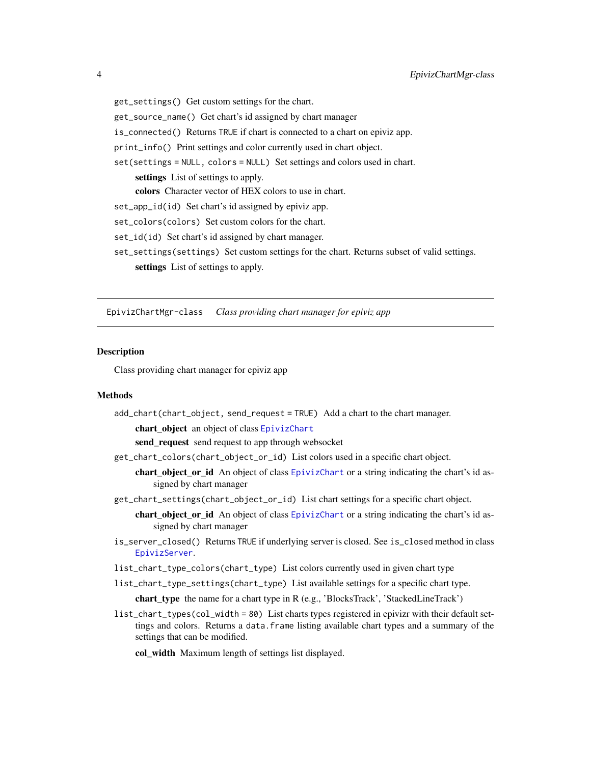get\_settings() Get custom settings for the chart. get\_source\_name() Get chart's id assigned by chart manager is\_connected() Returns TRUE if chart is connected to a chart on epiviz app. print\_info() Print settings and color currently used in chart object. set(settings = NULL, colors = NULL) Set settings and colors used in chart. settings List of settings to apply. colors Character vector of HEX colors to use in chart. set\_app\_id(id) Set chart's id assigned by epiviz app. set\_colors(colors) Set custom colors for the chart. set\_id(id) Set chart's id assigned by chart manager. set\_settings(settings) Set custom settings for the chart. Returns subset of valid settings. settings List of settings to apply.

EpivizChartMgr-class *Class providing chart manager for epiviz app*

### <span id="page-3-1"></span>Description

Class providing chart manager for epiviz app

### **Methods**

add\_chart(chart\_object, send\_request = TRUE) Add a chart to the chart manager.

chart\_object an object of class [EpivizChart](#page-2-1)

send\_request send request to app through websocket

- get\_chart\_colors(chart\_object\_or\_id) List colors used in a specific chart object.
	- chart\_object\_or\_id An object of class [EpivizChart](#page-2-1) or a string indicating the chart's id assigned by chart manager
- get\_chart\_settings(chart\_object\_or\_id) List chart settings for a specific chart object.
	- chart\_object\_or\_id An object of class [EpivizChart](#page-2-1) or a string indicating the chart's id assigned by chart manager
- is\_server\_closed() Returns TRUE if underlying server is closed. See is\_closed method in class [EpivizServer](#page-0-0).
- list\_chart\_type\_colors(chart\_type) List colors currently used in given chart type
- list\_chart\_type\_settings(chart\_type) List available settings for a specific chart type.

chart\_type the name for a chart type in R (e.g., 'BlocksTrack', 'StackedLineTrack')

list\_chart\_types(col\_width = 80) List charts types registered in epivizr with their default settings and colors. Returns a data.frame listing available chart types and a summary of the settings that can be modified.

col\_width Maximum length of settings list displayed.

<span id="page-3-0"></span>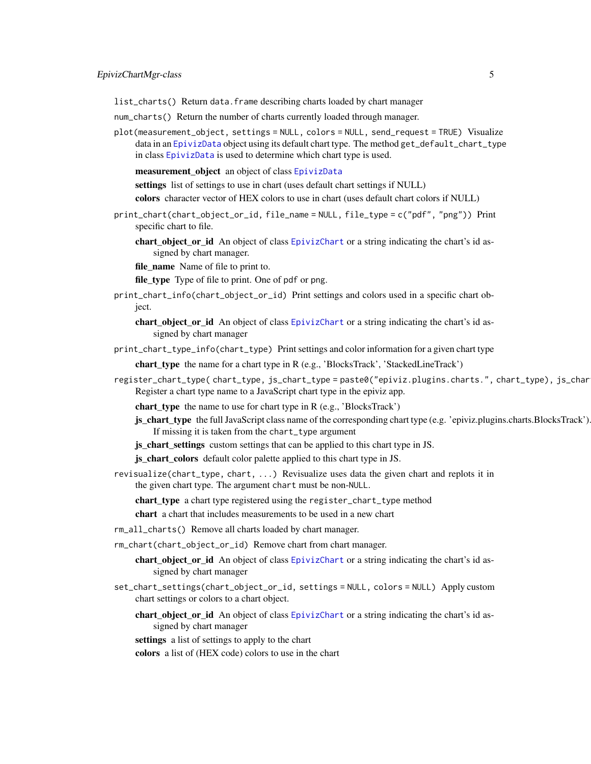<span id="page-4-0"></span>list\_charts() Return data.frame describing charts loaded by chart manager

- num\_charts() Return the number of charts currently loaded through manager.
- plot(measurement\_object, settings = NULL, colors = NULL, send\_request = TRUE) Visualize data in an [EpivizData](#page-0-0) object using its default chart type. The method get\_default\_chart\_type in class [EpivizData](#page-0-0) is used to determine which chart type is used.
	- measurement\_object an object of class [EpivizData](#page-0-0)

settings list of settings to use in chart (uses default chart settings if NULL)

colors character vector of HEX colors to use in chart (uses default chart colors if NULL)

- print\_chart(chart\_object\_or\_id, file\_name = NULL, file\_type = c("pdf", "png")) Print specific chart to file.
	- chart\_object\_or\_id An object of class [EpivizChart](#page-2-1) or a string indicating the chart's id assigned by chart manager.
	- file\_name Name of file to print to.

file\_type Type of file to print. One of pdf or png.

print\_chart\_info(chart\_object\_or\_id) Print settings and colors used in a specific chart object.

chart\_object\_or\_id An object of class [EpivizChart](#page-2-1) or a string indicating the chart's id assigned by chart manager

print\_chart\_type\_info(chart\_type) Print settings and color information for a given chart type

chart\_type the name for a chart type in R (e.g., 'BlocksTrack', 'StackedLineTrack')

register\_chart\_type( chart\_type, js\_chart\_type = paste0("epiviz.plugins.charts.", chart\_type), js\_char Register a chart type name to a JavaScript chart type in the epiviz app.

chart\_type the name to use for chart type in R (e.g., 'BlocksTrack')

js chart type the full JavaScript class name of the corresponding chart type (e.g. 'epiviz.plugins.charts.BlocksTrack'). If missing it is taken from the chart\_type argument

js\_chart\_settings custom settings that can be applied to this chart type in JS.

js\_chart\_colors default color palette applied to this chart type in JS.

revisualize(chart\_type, chart, ...) Revisualize uses data the given chart and replots it in the given chart type. The argument chart must be non-NULL.

chart\_type a chart type registered using the register\_chart\_type method

chart a chart that includes measurements to be used in a new chart

- rm\_all\_charts() Remove all charts loaded by chart manager.
- rm\_chart(chart\_object\_or\_id) Remove chart from chart manager.
	- chart\_object\_or\_id An object of class [EpivizChart](#page-2-1) or a string indicating the chart's id assigned by chart manager
- set\_chart\_settings(chart\_object\_or\_id, settings = NULL, colors = NULL) Apply custom chart settings or colors to a chart object.
	- chart\_object\_or\_id An object of class [EpivizChart](#page-2-1) or a string indicating the chart's id assigned by chart manager

settings a list of settings to apply to the chart

colors a list of (HEX code) colors to use in the chart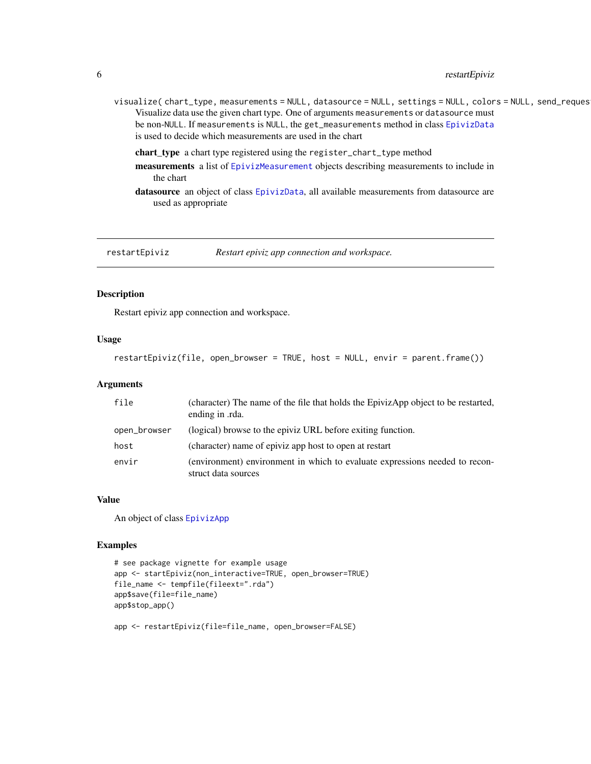# <span id="page-5-0"></span>6 restartEpiviz

- visualize( chart\_type, measurements = NULL, datasource = NULL, settings = NULL, colors = NULL, send\_reques Visualize data use the given chart type. One of arguments measurements or datasource must be non-NULL. If measurements is NULL, the get\_measurements method in class [EpivizData](#page-0-0) is used to decide which measurements are used in the chart
	- chart\_type a chart type registered using the register\_chart\_type method
	- measurements a list of [EpivizMeasurement](#page-0-0) objects describing measurements to include in the chart
	- datasource an object of class [EpivizData](#page-0-0), all available measurements from datasource are used as appropriate

restartEpiviz *Restart epiviz app connection and workspace.*

# Description

Restart epiviz app connection and workspace.

# Usage

```
restartEpiviz(file, open_browser = TRUE, host = NULL, envir = parent.frame())
```
### Arguments

| file         | (character) The name of the file that holds the EpivizApp object to be restarted,<br>ending in .rda. |
|--------------|------------------------------------------------------------------------------------------------------|
| open_browser | (logical) browse to the epiviz URL before exiting function.                                          |
| host         | (character) name of epiviz app host to open at restart                                               |
| envir        | (environment) environment in which to evaluate expressions needed to recon-<br>struct data sources   |

# Value

An object of class [EpivizApp](#page-1-1)

#### Examples

```
# see package vignette for example usage
app <- startEpiviz(non_interactive=TRUE, open_browser=TRUE)
file_name <- tempfile(fileext=".rda")
app$save(file=file_name)
app$stop_app()
```

```
app <- restartEpiviz(file=file_name, open_browser=FALSE)
```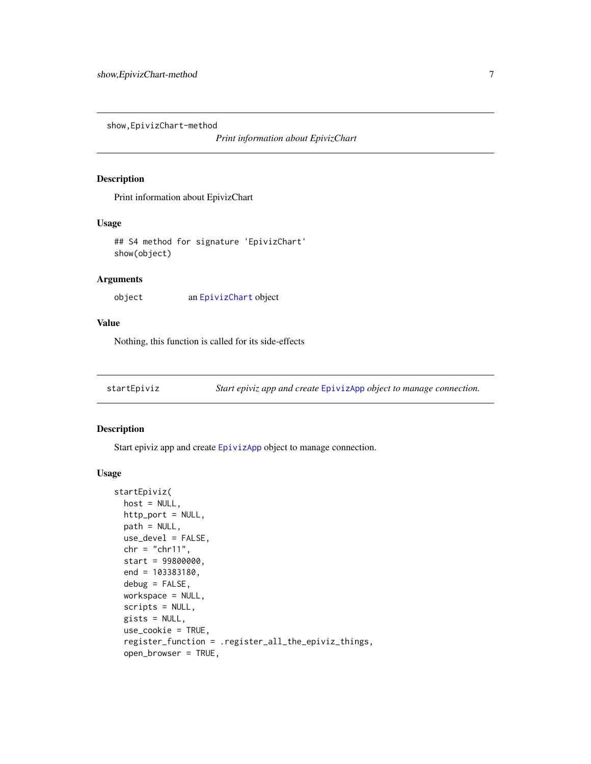<span id="page-6-0"></span>show,EpivizChart-method

*Print information about EpivizChart*

# Description

Print information about EpivizChart

#### Usage

## S4 method for signature 'EpivizChart' show(object)

# Arguments

object an [EpivizChart](#page-2-1) object

# Value

Nothing, this function is called for its side-effects

startEpiviz *Start epiviz app and create* [EpivizApp](#page-1-1) *object to manage connection.*

# Description

Start epiviz app and create [EpivizApp](#page-1-1) object to manage connection.

#### Usage

```
startEpiviz(
 host = NULL,http_port = NULL,
 path = NULL,
 use_devel = FALSE,
  chr = "chr11",start = 99800000,
  end = 103383180,
 debug = FALSE,
 workspace = NULL,
  scripts = NULL,
  gists = NULL,
 use_cookie = TRUE,
  register_function = .register_all_the_epiviz_things,
  open_browser = TRUE,
```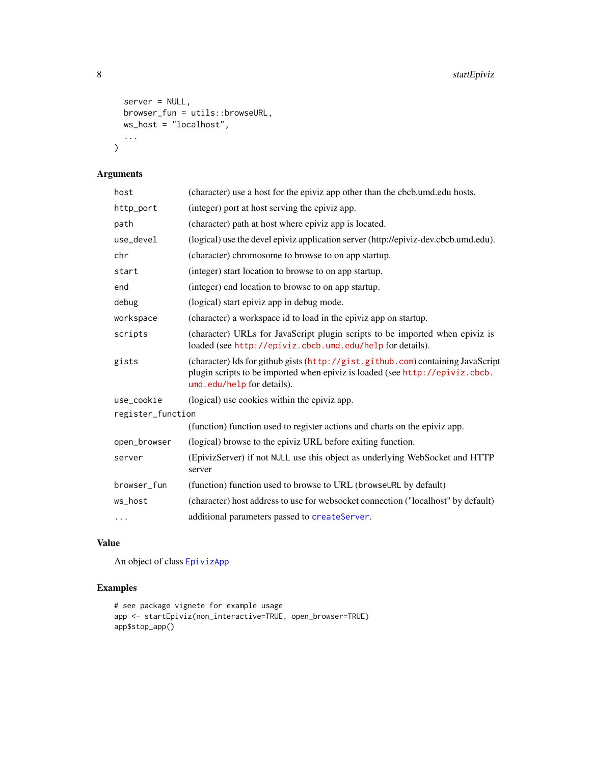```
server = NULL,
  browser_fun = utils::browseURL,
  ws_host = "localhost",
  ...
\mathcal{L}
```
# Arguments

| host              | (character) use a host for the epiviz app other than the cbcb.umd.edu hosts.                                                                                                                  |
|-------------------|-----------------------------------------------------------------------------------------------------------------------------------------------------------------------------------------------|
| http_port         | (integer) port at host serving the epiviz app.                                                                                                                                                |
| path              | (character) path at host where epiviz app is located.                                                                                                                                         |
| use_devel         | (logical) use the devel epiviz application server (http://epiviz-dev.cbcb.umd.edu).                                                                                                           |
| chr               | (character) chromosome to browse to on app startup.                                                                                                                                           |
| start             | (integer) start location to browse to on app startup.                                                                                                                                         |
| end               | (integer) end location to browse to on app startup.                                                                                                                                           |
| debug             | (logical) start epiviz app in debug mode.                                                                                                                                                     |
| workspace         | (character) a workspace id to load in the epiviz app on startup.                                                                                                                              |
| scripts           | (character) URLs for JavaScript plugin scripts to be imported when epiviz is<br>loaded (see http://epiviz.cbcb.umd.edu/help for details).                                                     |
| gists             | (character) Ids for github gists (http://gist.github.com) containing JavaScript<br>plugin scripts to be imported when epiviz is loaded (see http://epiviz.cbcb.<br>umd.edu/help for details). |
| use_cookie        | (logical) use cookies within the epiviz app.                                                                                                                                                  |
| register_function |                                                                                                                                                                                               |
|                   | (function) function used to register actions and charts on the epiviz app.                                                                                                                    |
| open_browser      | (logical) browse to the epiviz URL before exiting function.                                                                                                                                   |
| server            | (EpivizServer) if not NULL use this object as underlying WebSocket and HTTP<br>server                                                                                                         |
| browser_fun       | (function) function used to browse to URL (browseURL by default)                                                                                                                              |
| ws_host           | (character) host address to use for websocket connection ("localhost" by default)                                                                                                             |
| $\cdots$          | additional parameters passed to createServer.                                                                                                                                                 |

# Value

An object of class [EpivizApp](#page-1-1)

# Examples

```
# see package vignete for example usage
app <- startEpiviz(non_interactive=TRUE, open_browser=TRUE)
app$stop_app()
```
<span id="page-7-0"></span>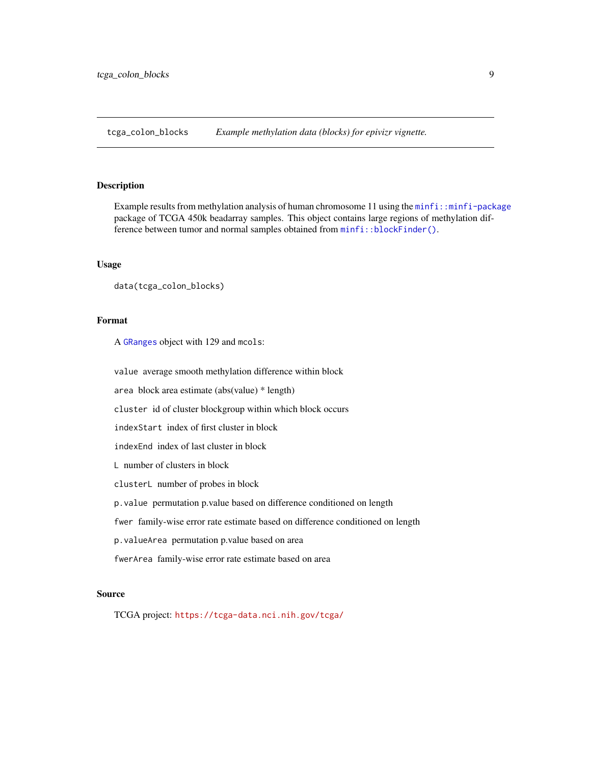<span id="page-8-0"></span>tcga\_colon\_blocks *Example methylation data (blocks) for epivizr vignette.*

# Description

Example results from methylation analysis of human chromosome 11 using the [minfi::minfi-package](#page-0-0) package of TCGA 450k beadarray samples. This object contains large regions of methylation difference between tumor and normal samples obtained from [minfi::blockFinder\(\)](#page-0-0).

# Usage

```
data(tcga_colon_blocks)
```
#### Format

A [GRanges](#page-0-0) object with 129 and mcols:

value average smooth methylation difference within block

area block area estimate (abs(value) \* length)

cluster id of cluster blockgroup within which block occurs

indexStart index of first cluster in block

indexEnd index of last cluster in block

L number of clusters in block

clusterL number of probes in block

p.value permutation p.value based on difference conditioned on length

fwer family-wise error rate estimate based on difference conditioned on length

p.valueArea permutation p.value based on area

fwerArea family-wise error rate estimate based on area

# Source

TCGA project: <https://tcga-data.nci.nih.gov/tcga/>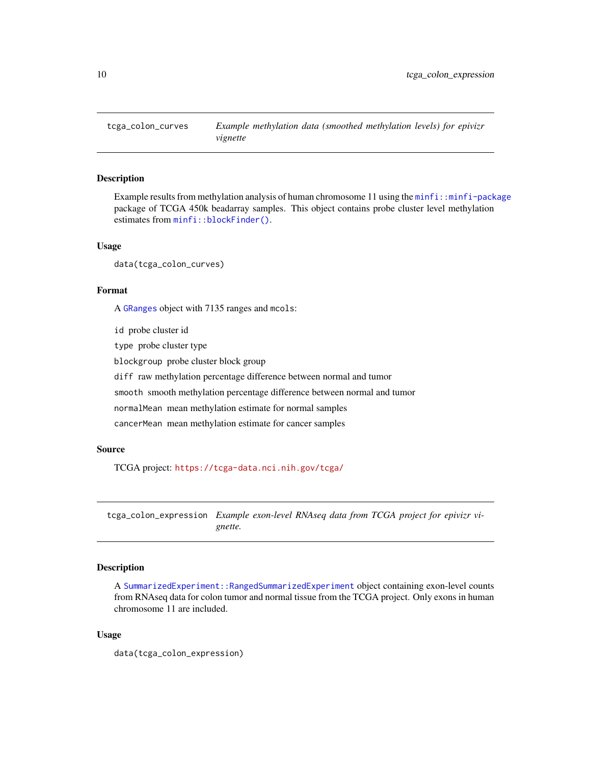<span id="page-9-0"></span>

# Description

Example results from methylation analysis of human chromosome 11 using the  $minfi$ : minfi-package package of TCGA 450k beadarray samples. This object contains probe cluster level methylation estimates from [minfi::blockFinder\(\)](#page-0-0).

#### Usage

data(tcga\_colon\_curves)

#### Format

A [GRanges](#page-0-0) object with 7135 ranges and mcols:

id probe cluster id

type probe cluster type

blockgroup probe cluster block group

diff raw methylation percentage difference between normal and tumor

smooth smooth methylation percentage difference between normal and tumor

normalMean mean methylation estimate for normal samples

cancerMean mean methylation estimate for cancer samples

# Source

TCGA project: <https://tcga-data.nci.nih.gov/tcga/>

tcga\_colon\_expression *Example exon-level RNAseq data from TCGA project for epivizr vignette.*

# Description

A [SummarizedExperiment::RangedSummarizedExperiment](#page-0-0) object containing exon-level counts from RNAseq data for colon tumor and normal tissue from the TCGA project. Only exons in human chromosome 11 are included.

### Usage

data(tcga\_colon\_expression)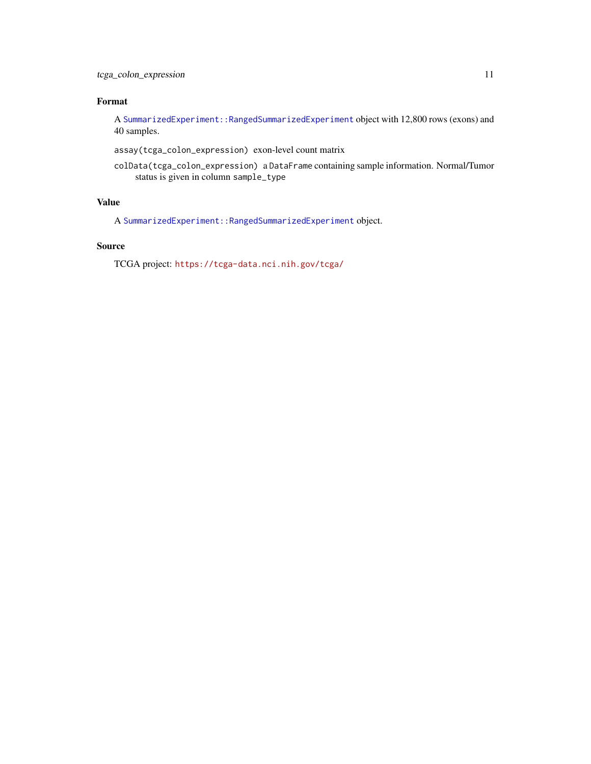# <span id="page-10-0"></span>Format

A [SummarizedExperiment::RangedSummarizedExperiment](#page-0-0) object with 12,800 rows (exons) and 40 samples.

assay(tcga\_colon\_expression) exon-level count matrix

colData(tcga\_colon\_expression) a DataFrame containing sample information. Normal/Tumor status is given in column sample\_type

# Value

A [SummarizedExperiment::RangedSummarizedExperiment](#page-0-0) object.

### Source

TCGA project: <https://tcga-data.nci.nih.gov/tcga/>